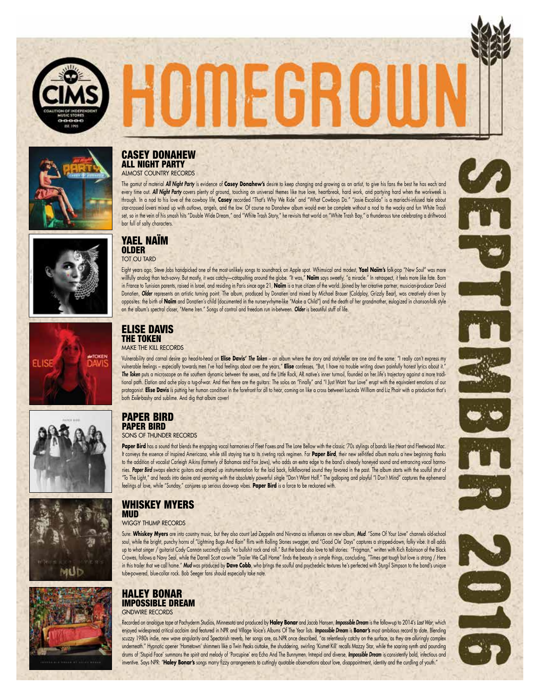



#### CASEY DONAHEW ALL NIGHT PARTY ALMOST COUNTRY RECORDS

The gamut of material *All Night Party* is evidence of **Casey Donahew's** desire to keep changing and growing as an artist, to give his fans the best he has each and every time out. **All Night Party** covers plenty of ground, touching on universal themes like true love, heartbreak, hard work, and partying hard when the workweek is through. In a nod to his love of the cowboy life, **Casey** recorded "That's Why We Ride" and "What Cowboys Do." "Josie Escalido" is a mariachi-infused tale about star-crossed lovers mixed up with outlaws, angels, and the law. Of course no Donahew album would ever be complete without a nod to the wacky and fun White Trash set, so in the vein of his smash hits "Double Wide Dream," and "White Trash Story," he revisits that world on "White Trash Bay," a thunderous tune celebrating a driftwood bar full of salty characters.

HOMECHO





## TOT OU TARD

YAEL NAÏM OLDER

Eight years ago, Steve Jobs handpicked one of the most unlikely songs to soundtrack an Apple spot. Whimsical and modest, **Yael Naïm's** folk-pop "New Soul" was more willfully analog than tech-savvy. But mostly, it was catchy—catapulting around the globe. "It was," **Naïm** says sweetly, "a miracle." In retrospect, it feels more like fate. Born in France to Tunisian parents, raised in Israel, and residing in Paris since age 21, **Naïm** is a true citizen of the world. Joined by her creative partner, musician-producer David Donatien, **Older** represents an artistic turning point. The album, produced by Donatien and mixed by Michael Brauer (Coldplay, Grizzly Bear), was creatively driven by opposites: the birth of **Naïm** and Donatien's child (documented in the nursery-rhyme-like "Make a Child") and the death of her grandmother, eulogized in chanson-folk style on the album's spectral closer, "Meme Iren." Songs of control and freedom run in-between. *Older* is beautiful stuff of life.



#### ELISE DAVIS THE TOKEN MAKE THE KILL RECORDS

Vulnerability and carnal desire go head-to-head on **Elise Davis'** *The Token* – an album where the story and storyteller are one and the same: "I really can't express my vulnerable feelings – especially towards men I've had feelings about over the years," **Elise** confesses, "But, I have no trouble writing down painfully honest lyrics about it." *The Token* puts a microscope on the southern dynamic between the sexes, and the Little Rock, AR native's inner turmoil, founded on her life's trajectory against a more traditional path. Elation and ache play a tug-of-war. And then there are the guitars: The solos on "Finally" and "I Just Want Your Love" erupt with the equivalent emotions of our protagonist. **Elise Davis** is putting her human condition in the forefront for all to hear, coming on like a cross between Lucinda William and Liz Phair with a production that's both *Exile-*bashy and sublime. And dig that album cover!





#### PAPER BIRD PAPER BIRD SONS OF THUNDER RECORDS

**Paper Bird** has a sound that blends the engaging vocal harmonies of Fleet Foxes and The Lone Bellow with the classic '70s stylings of bands like Heart and Fleetwood Mac. It conveys the essence of inspired Americana, while still staying true to its riveting rock regimen. For **Paper Bird**, their new self-titled album marks a new beginning thanks to the addition of vocalist Carleigh Aikins (formerly of Bahamas and Fox Jaws), who adds an extra edge to the band's already honeyed sound and entrancing vocal harmonies. Paper Bird swaps electric guitars and amped up instrumentation for the laid back, folkflavored sound they favored in the past. The album starts with the soulful strut of "To The Light," and heads into desire and yearning with the absolutely powerful single "Don't Want Half." The galloping and playful "I Don't Mind" captures the ephemeral feelings of love, while "Sunday," conjures up serious doo-wop vibes. **Paper Bird** is a force to be reckoned with.





#### WHISKEY MYERS **MUD**

#### WIGGY THUMP RECORDS

Sure: **Whiskey Myers** are into country music, but they also count Led Zeppelin and Nirvana as influences on new album, *Mud.* "Some Of Your Love" channels old-school soul, while the bright, punchy horns of "Lightning Bugs And Rain" flirts with Rolling Stones swagger, and "Good Ole' Days" captures a stripped-down, folky vibe. It all adds up to what singer / guitarist Cody Cannon succinctly calls "no bullshit rock and roll." But the band also love to tell stories: "Frogman," written with Rich Robinson of the Black Crowes, follows a Navy Seal, while the Darrell Scott co-write "Trailer We Call Home" finds the beauty in simple things, concluding, "Times get tough but love is strong / Here in this trailer that we call home." *Mud* was produced by **Dave Cobb**, who brings the soulful and psychedelic textures he's perfected with Sturgil Simpson to the band's unique tube-powered, blue-collar rock. Bob Seeger fans should especially take note.

#### HALEY BONAR IMPOSSIBLE DREAM

GNDWIRE RECORDS

Recorded on analogue tape at Pachyderm Studios, Minnesota and produced by **Haley Bonar** and Jacob Hansen, *Impossible Dream* is the follow-up to 2014's *Last War*, which enjoyed widespread critical acclaim and featured in NPR and Village Voice's Albums Of The Year lists. *Impossible Dream* is **Bonar's** most ambitious record to date. Blending scuzzy 1980s indie, new wave angularity and Spectorish reverb, her songs are, as NPR once described, "as relentlessly catchy on the surface, as they are alluringly complex underneath." Hypnotic opener 'Hometown' shimmers like a Twin Peaks outtake, the shuddering, swirling 'Kismet Kill' recalls Mazzy Star, while the soaring synth and pounding drums of 'Stupid Face' summons the spirit and melody of 'Porcupine' era Echo And The Bunnymen. Intrepid and diverse, *Impossible Dream* is consistently bold, infectious and inventive. Says NPR: "**Haley Bonar's** songs marry fizzy arrangements to cuttingly quotable observations about love, disappointment, identity and the curdling of youth."